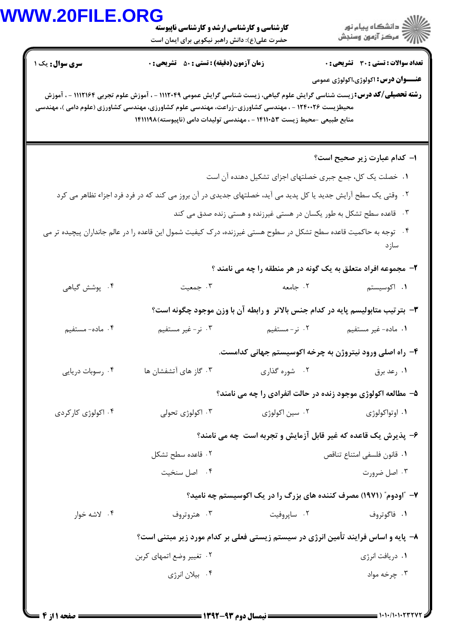## **WWW.20FILE.ORG**

| <b>VW.20FILE.ORG</b>   | <b>کارشناسی و کارشناسی ارشد و کارشناسی ناپیوسته</b><br>حضرت علی(ع): دانش راهبر نیکویی برای ایمان است                                                                                                                                                                                                              |                | ر دانشڪاه پيام نور<br>اڳ مرڪز آزمون وسنڊش                                       |  |  |
|------------------------|-------------------------------------------------------------------------------------------------------------------------------------------------------------------------------------------------------------------------------------------------------------------------------------------------------------------|----------------|---------------------------------------------------------------------------------|--|--|
| <b>سری سوال :</b> یک ۱ | <b>زمان آزمون (دقیقه) : تستی : 50 ٪ تشریحی : 0</b>                                                                                                                                                                                                                                                                |                | <b>تعداد سوالات : تستی : 30 ٪ تشریحی : 0</b>                                    |  |  |
|                        | <b>رشته تحصیلی/کد درس:</b> زیست شناسی گرایش علوم گیاهی، زیست شناسی گرایش عمومی ۱۱۱۲۰۴۹ - ، آموزش علوم تجربی ۱۱۱۲۱۶۴ - ، آموزش<br>محیطزیست ۱۲۴۰۰۲۶ - ، مهندسی کشاورزی-زراعت، مهندسی علوم کشاورزی، مهندسی کشاورزی (علوم دامی )، مهندسی<br>منابع طبیعی -محیط زیست ۱۴۱۱۰۵۳ - ، مهندسی تولیدات دامی (ناپیوسته) ۱۴۱۱۱۹۸ |                | <b>عنـــوان درس:</b> اکولوژی،اکولوژی عمومی                                      |  |  |
|                        |                                                                                                                                                                                                                                                                                                                   |                | ۱– کدام عبارت زیر صحیح است؟                                                     |  |  |
|                        |                                                                                                                                                                                                                                                                                                                   |                | ۰۱ خصلت یک کل، جمع جبری خصلتهای اجزای تشکیل دهنده آن است                        |  |  |
|                        | ۰۲ وقتی یک سطح آرایش جدید یا کل پدید می آید، خصلتهای جدیدی در آن بروز می کند که در فرد فرد اجزاء تظاهر می کرد                                                                                                                                                                                                     |                |                                                                                 |  |  |
|                        |                                                                                                                                                                                                                                                                                                                   |                | ۰۳ قاعده سطح تشکل به طور یکسان در هستی غیرزنده و هستی زنده صدق می کند           |  |  |
|                        | ۴ .   توجه به حاکمیت قاعده سطح تشکل در سطوح هستی غیرزنده، درک کیفیت شمول این قاعده را در عالم جانداران پیچیده تر می                                                                                                                                                                                               |                | سازد                                                                            |  |  |
|                        |                                                                                                                                                                                                                                                                                                                   |                | ۲- مجموعه افراد متعلق به یک گونه در هر منطقه را چه می نامند ؟                   |  |  |
| ۴. پوشش گیاهی          | ۰۳ جمعیت                                                                                                                                                                                                                                                                                                          | ۰۲ جامعه       | ۰۱ اکوسیستم                                                                     |  |  |
|                        |                                                                                                                                                                                                                                                                                                                   |                | ۳- بترتیب متابولیسم پایه در کدام جنس بالاتر ًو رابطه آن با وزن موجود چگونه است؟ |  |  |
| ۰۴ ماده- مستفيم        | ۰۳ نر-غیر مستفیم                                                                                                                                                                                                                                                                                                  | ۰۲ نر-مستفيم   | ۰۱ ماده- غیر مستفیم                                                             |  |  |
|                        |                                                                                                                                                                                                                                                                                                                   |                | ۴- راه اصلی ورود نیتروژن به چرخه اکوسیستم جهانی کدامست.                         |  |  |
| ۰۴ رسوبات دریایی       | ۰۳ گاز های آتشفشان ها                                                                                                                                                                                                                                                                                             | ۰۲ شوره گذاری  | ۰۱ رعد برق                                                                      |  |  |
|                        |                                                                                                                                                                                                                                                                                                                   |                | ۵- مطالعه اکولوژی موجود زنده در حالت انفرادی را چه می نامند؟                    |  |  |
| ۰۴ اکولوژی کارکردی     | ۰۳ اکولوژی تحولی                                                                                                                                                                                                                                                                                                  | ۰۲ سین اکولوژی | ۰۱ اوتواکولوژی                                                                  |  |  |
|                        | ۶- پذیرش یک قاعده که غیر قابل آزمایش و تجربه است چه می نامند؟                                                                                                                                                                                                                                                     |                |                                                                                 |  |  |
|                        | ۰۲ قاعده سطح تشکل                                                                                                                                                                                                                                                                                                 |                | ٠١ قانون فلسفى امتناع تناقص                                                     |  |  |
|                        | ۰۴ اصل سنخيت                                                                                                                                                                                                                                                                                                      |                | ۰۳ اصل ضرورت                                                                    |  |  |
|                        |                                                                                                                                                                                                                                                                                                                   |                | ۷- ″اودوم″ (۱۹۷۱) مصرف کننده های بزرگ را در یک اکوسیستم چه نامید؟               |  |  |
| ۰۴ لاشه خوار           | ۰۳ هتروتروف                                                                                                                                                                                                                                                                                                       | ۰۲ ساپروفیت    | ۰۱ فاگوتروف                                                                     |  |  |
|                        | ۸– پایه و اساس فرایند تأمین انرژی در سیستم زیستی فعلی بر کدام مورد زیر مبتنی است؟                                                                                                                                                                                                                                 |                |                                                                                 |  |  |
|                        | ۰۲ تغییر وضع اتمهای کربن                                                                                                                                                                                                                                                                                          |                | ۰۱ دریافت انرژی                                                                 |  |  |
|                        | ۰۴ بیلان انرژی                                                                                                                                                                                                                                                                                                    |                | ۰۳ چرخه مواد                                                                    |  |  |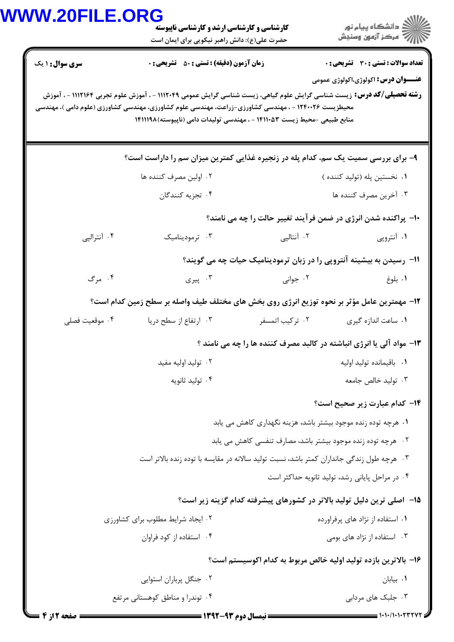|                        | <b>کارشناسی و کارشناسی ارشد و کارشناسی ناپیوسته</b><br>حضرت علی(ع): دانش راهبر نیکویی برای ایمان است                                                                                                                                                                                                              |                                                                          | دانشگاه پیام نور $\le$<br>ر آمرڪز آزمون وسنڊش   |
|------------------------|-------------------------------------------------------------------------------------------------------------------------------------------------------------------------------------------------------------------------------------------------------------------------------------------------------------------|--------------------------------------------------------------------------|-------------------------------------------------|
| <b>سری سوال : ۱ یک</b> | <b>زمان آزمون (دقیقه) : تستی : 50 ٪ تشریحی : 0</b>                                                                                                                                                                                                                                                                |                                                                          | تعداد سوالات : تستي : 30 ٪ تشريحي : 0           |
|                        | <b>رشته تحصیلی/کد درس:</b> زیست شناسی گرایش علوم گیاهی، زیست شناسی گرایش عمومی ۱۱۱۲۰۴۹ - ، آموزش علوم تجربی ۱۱۱۲۱۶۴ - ، آموزش<br>محیطزیست ۱۲۴۰۰۲۶ - ، مهندسی کشاورزی-زراعت، مهندسی علوم کشاورزی، مهندسی کشاورزی (علوم دامی )، مهندسی<br>منابع طبیعی -محیط زیست ۱۴۱۱۰۵۳ - ، مهندسی تولیدات دامی (ناپیوسته) ۱۴۱۱۱۹۸ |                                                                          | <b>عنـــوان درس:</b> اکولوژی،اکولوژی عمومی      |
|                        | ۹- برای بررسی سمیت یک سم، کدام پله در زنجیره غذایی کمترین میزان سم را داراست است؟                                                                                                                                                                                                                                 |                                                                          |                                                 |
|                        | ۰۲ اولین مصرف کننده ها                                                                                                                                                                                                                                                                                            |                                                                          | ۰۱ نخستين پله (توليد كننده )                    |
|                        | ۰۴ تجزیه کنندگان                                                                                                                                                                                                                                                                                                  |                                                                          | ۰۳ آخرین مصرف کننده ها                          |
|                        |                                                                                                                                                                                                                                                                                                                   | <b>۱۰- پراکنده شدن انرژی در ضمن فرآیند تغییر حالت را چه می نامند؟</b>    |                                                 |
| ۰۴ آنترالپی            | ۰۳ ترمودینامیک                                                                                                                                                                                                                                                                                                    | ۰۲ آنتالپی                                                               | ۰۱ آنتروپی                                      |
|                        |                                                                                                                                                                                                                                                                                                                   | 1۱- رسیدن به بیشینه آنتروپی را در زبان ترمودینامیک حیات چه می گویند؟     |                                                 |
| ۰۴ مرگ                 | ۰۳ پیری                                                                                                                                                                                                                                                                                                           | ۰۲ جوانی                                                                 | ٠١. بلوغ                                        |
|                        | ۱۲- مهمترین عامل مؤثر بر نحوه توزیع انرژی روی بخش های مختلف طیف واصله بر سطح زمین کدام است؟                                                                                                                                                                                                                       |                                                                          |                                                 |
| ۰۴ موقعیت فصلی         | ۰۳ ارتفاع از سطح دریا                                                                                                                                                                                                                                                                                             | ۰۲ ترکیب اتمسفر                                                          | ۰۱ ساعت اندازه گیری                             |
|                        |                                                                                                                                                                                                                                                                                                                   | ۱۳- مواد آلی یا انرژی انباشته در کالبد مصرف کننده ها را چه می نامند ؟    |                                                 |
|                        | ۰۲ توليد اوليه مفيد                                                                                                                                                                                                                                                                                               |                                                                          | ٠١. باقيمانده توليد اوليه                       |
|                        | ۰۴ تولید ثانویه                                                                                                                                                                                                                                                                                                   |                                                                          | ۰۳ تولید خالص جامعه                             |
|                        |                                                                                                                                                                                                                                                                                                                   |                                                                          | <b>۱۴</b> کدام عبارت زیر صحیح است؟              |
|                        |                                                                                                                                                                                                                                                                                                                   | ۰۱ هرچه توده زنده موجود بیشتر باشد، هزینه نگهداری کاهش می یابد           |                                                 |
|                        |                                                                                                                                                                                                                                                                                                                   | ٢٠- هرچه توده زنده موجود بيشتر باشد، مصارف تنفسي كاهش مي يابد            |                                                 |
|                        | ۰۳ هرچه طول زندگی جانداران کمتر باشد، نسبت تولید سالانه در مقایسه با توده زنده بالاتر است                                                                                                                                                                                                                         |                                                                          |                                                 |
|                        |                                                                                                                                                                                                                                                                                                                   |                                                                          | ۰۴ در مراحل پایانی رشد، تولید ثانویه حداکثر است |
|                        |                                                                                                                                                                                                                                                                                                                   | ۰۱۵ - اصلی ترین دلیل تولید بالاتر در کشورهای پیشرفته کدام گزینه زیر است؟ |                                                 |
|                        | ٠٢ ايجاد شرايط مطلوب براي كشاورزى                                                                                                                                                                                                                                                                                 |                                                                          | ۰۱ استفاده از نژاد های پرفراورده                |
|                        | ۰۴ استفاده از کود فراوان                                                                                                                                                                                                                                                                                          |                                                                          | ۰۳ استفاده از نژاد های بومی                     |
|                        |                                                                                                                                                                                                                                                                                                                   | ۱۶– بالاترين بازده توليد اوليه خالص مربوط به كدام اكوسيستم است؟          |                                                 |
|                        | ۰۲ جنگل پرباران استوایی                                                                                                                                                                                                                                                                                           |                                                                          | ۰۱ بیابان                                       |
|                        | ۰۴ توندرا و مناطق کوهستانی مرتفع                                                                                                                                                                                                                                                                                  |                                                                          | ۰۳ جلبک های مردابی                              |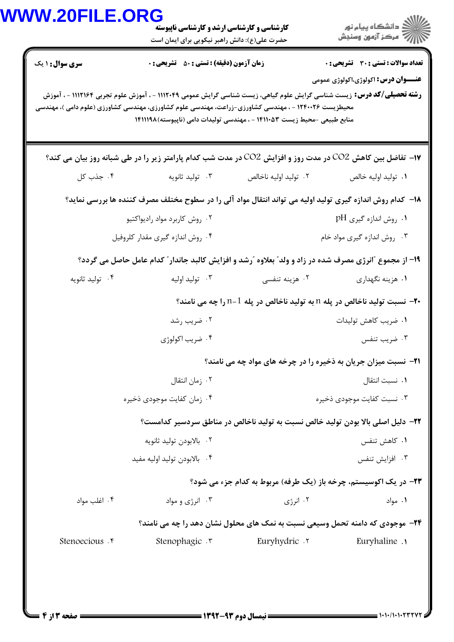| <b>V.20FILE.ORG</b> | <b>کارشناسی و کارشناسی ارشد و کارشناسی ناپیوسته</b><br>حضرت علی(ع): دانش راهبر نیکویی برای ایمان است |                                                                                                                                                                                                                                                                                                                   | دانشگاه پيام نور $\le$<br>رِ ۖ مرڪز آزمون وسنڊش |
|---------------------|------------------------------------------------------------------------------------------------------|-------------------------------------------------------------------------------------------------------------------------------------------------------------------------------------------------------------------------------------------------------------------------------------------------------------------|-------------------------------------------------|
| سری سوال: ۱ یک      | <b>زمان آزمون (دقیقه) : تستی : 50 ٪ تشریحی : 0</b>                                                   |                                                                                                                                                                                                                                                                                                                   | <b>تعداد سوالات : تستی : 30 ٪ تشریحی : 0</b>    |
|                     |                                                                                                      | <b>رشته تحصیلی/کد درس:</b> زیست شناسی گرایش علوم گیاهی، زیست شناسی گرایش عمومی ۱۱۱۲۰۴۹ - ، آموزش علوم تجربی ۱۱۱۲۱۶۴ - ، آموزش<br>محیطزیست ۱۲۴۰۰۲۶ - ، مهندسی کشاورزی-زراعت، مهندسی علوم کشاورزی، مهندسی کشاورزی (علوم دامی )، مهندسی<br>منابع طبیعی -محیط زیست ۱۴۱۱۰۵۳ - ، مهندسی تولیدات دامی (ناپیوسته) ۱۴۱۱۱۹۸ | <b>عنـــوان درس:</b> اکولوژی،اکولوژی عمومی      |
|                     |                                                                                                      | <b>۱۷</b> - تفاضل بین کاهش CO2 در مدت روز و افزایش CO2 در مدت شب کدام پارامتر زیر را در طی شبانه روز بیان می کند؟                                                                                                                                                                                                 |                                                 |
| ۰۴ جذب کل           | ۰۳ تولید ثانویه                                                                                      | ٠٢ توليد اوليه ناخالص                                                                                                                                                                                                                                                                                             | ٠١. توليد اوليه خالص                            |
|                     |                                                                                                      | ۱۸– کدام روش اندازه گیری تولید اولیه می تواند انتقال مواد آلی را در سطوح مختلف مصرف کننده ها بررسی نماید؟                                                                                                                                                                                                         |                                                 |
|                     | ۰۲ روش کاربرد مواد رادیواکتیو                                                                        |                                                                                                                                                                                                                                                                                                                   | ۰۱ روش اندازه گیری pH                           |
|                     | ۰۴ روش اندازه گیری مقدار کلروفیل                                                                     |                                                                                                                                                                                                                                                                                                                   | ۰۳ روش اندازه گیری مواد خام                     |
|                     |                                                                                                      | ۱۹- از مجموع "انرژی مصرف شده در زاد و ولد" بعلاوه "رشد و افزایش کالبد جاندار" کدام عامل حاصل می گردد؟                                                                                                                                                                                                             |                                                 |
| ۰۴ تولید ثانویه     | ۰۳ تولید اولیه                                                                                       | ۰۲ هزینه تنفسی                                                                                                                                                                                                                                                                                                    | ۰۱ هزینه نگهداری                                |
|                     |                                                                                                      | <b>۰۲−</b> نسبت تولید ناخالص در پله n به تولید ناخالص در پله 1−1 را چه می نامند؟                                                                                                                                                                                                                                  |                                                 |
|                     | ۰۲ ضریب رشد                                                                                          |                                                                                                                                                                                                                                                                                                                   | ۰۱ ضریب کاهش تولیدات                            |
|                     | ۰۴ ضریب اکولوژی                                                                                      |                                                                                                                                                                                                                                                                                                                   | ۰۳ ضریب تنفس                                    |
|                     |                                                                                                      | <b>۲۱</b> - نسبت میزان جریان به ذخیره را در چرخه های مواد چه می نامند؟                                                                                                                                                                                                                                            |                                                 |
|                     | ۰۲ زمان انتقال                                                                                       |                                                                                                                                                                                                                                                                                                                   | ٠١. نسبت انتقال                                 |
|                     | ۰۴ زمان کفایت موجودی ذخیره                                                                           |                                                                                                                                                                                                                                                                                                                   | ۰۳ نسبت کفایت موجودی ذخیره                      |
|                     |                                                                                                      | ٢٢- دليل اصلي بالا بودن توليد خالص نسبت به توليد ناخالص در مناطق سردسير كدامست؟                                                                                                                                                                                                                                   |                                                 |
|                     | ۰۲ بالابودن توليد ثانويه                                                                             |                                                                                                                                                                                                                                                                                                                   | ۰۱ كاهش تنفس                                    |
|                     | ۰۴ بالابودن توليد اوليه مفيد                                                                         |                                                                                                                                                                                                                                                                                                                   | ۰۳ افزایش تنفس                                  |
|                     |                                                                                                      | <b>۲۳-</b> در یک اکوسیستم، چرخه باز (یک طرفه) مربوط به کدام جزء می شود؟                                                                                                                                                                                                                                           |                                                 |
| ۰۴ اغلب مواد        | ۰۳ انرژی و مواد                                                                                      | ۰۲ انرژی                                                                                                                                                                                                                                                                                                          | ۰۱ مواد                                         |
|                     |                                                                                                      | <b>34</b> - موجودی که دامنه تحمل وسیعی نسبت به نمک های محلول نشان دهد را چه می نامند؟                                                                                                                                                                                                                             |                                                 |
|                     |                                                                                                      |                                                                                                                                                                                                                                                                                                                   |                                                 |